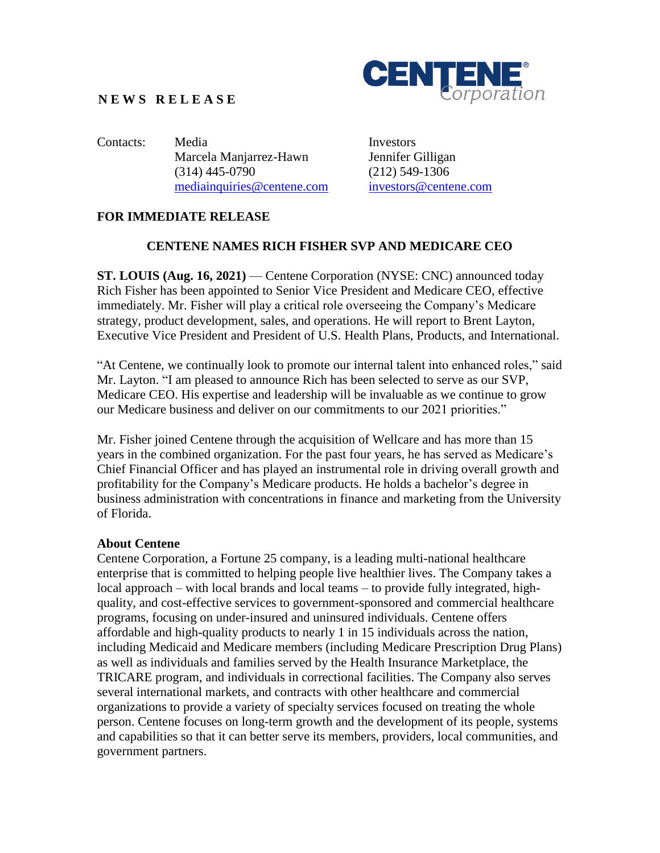### **N E W S R E L E A S E**



Contacts: Media Investors Marcela Manjarrez-Hawn Jennifer Gilligan (314) 445-0790 (212) 549-1306 [mediainquiries@centene.com](mailto:mediainquiries@centene.com) [investors@centene.com](mailto:investors@centene.com)

# **FOR IMMEDIATE RELEASE**

# **CENTENE NAMES RICH FISHER SVP AND MEDICARE CEO**

**ST. LOUIS (Aug. 16, 2021)** — Centene Corporation (NYSE: CNC) announced today Rich Fisher has been appointed to Senior Vice President and Medicare CEO, effective immediately. Mr. Fisher will play a critical role overseeing the Company's Medicare strategy, product development, sales, and operations. He will report to Brent Layton, Executive Vice President and President of U.S. Health Plans, Products, and International.

"At Centene, we continually look to promote our internal talent into enhanced roles," said Mr. Layton. "I am pleased to announce Rich has been selected to serve as our SVP, Medicare CEO. His expertise and leadership will be invaluable as we continue to grow our Medicare business and deliver on our commitments to our 2021 priorities."

Mr. Fisher joined Centene through the acquisition of Wellcare and has more than 15 years in the combined organization. For the past four years, he has served as Medicare's Chief Financial Officer and has played an instrumental role in driving overall growth and profitability for the Company's Medicare products. He holds a bachelor's degree in business administration with concentrations in finance and marketing from the University of Florida.

#### **About Centene**

Centene Corporation, a Fortune 25 company, is a leading multi-national healthcare enterprise that is committed to helping people live healthier lives. The Company takes a local approach – with local brands and local teams – to provide fully integrated, highquality, and cost-effective services to government-sponsored and commercial healthcare programs, focusing on under-insured and uninsured individuals. Centene offers affordable and high-quality products to nearly 1 in 15 individuals across the nation, including Medicaid and Medicare members (including Medicare Prescription Drug Plans) as well as individuals and families served by the Health Insurance Marketplace, the TRICARE program, and individuals in correctional facilities. The Company also serves several international markets, and contracts with other healthcare and commercial organizations to provide a variety of specialty services focused on treating the whole person. Centene focuses on long-term growth and the development of its people, systems and capabilities so that it can better serve its members, providers, local communities, and government partners.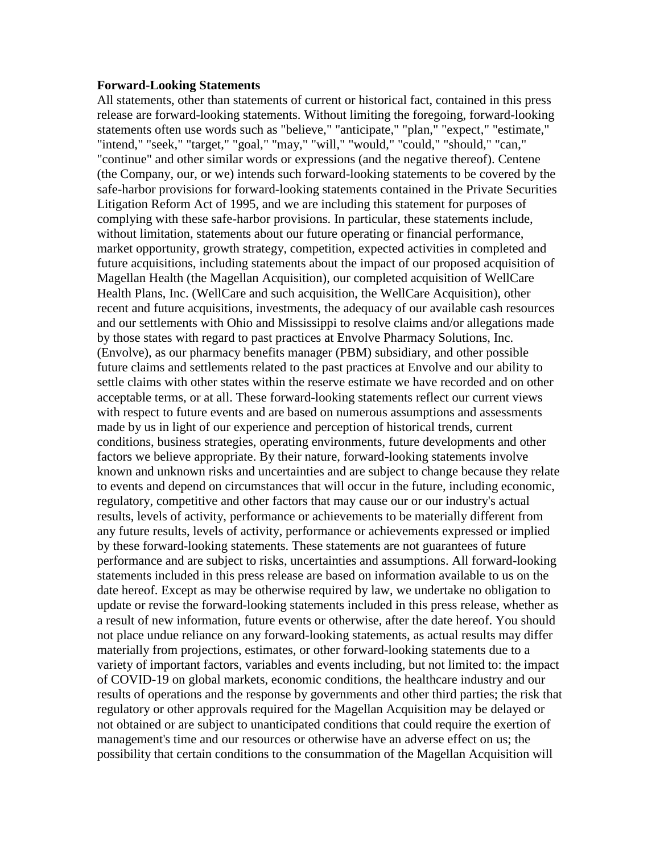#### **Forward-Looking Statements**

All statements, other than statements of current or historical fact, contained in this press release are forward-looking statements. Without limiting the foregoing, forward-looking statements often use words such as "believe," "anticipate," "plan," "expect," "estimate," "intend," "seek," "target," "goal," "may," "will," "would," "could," "should," "can," "continue" and other similar words or expressions (and the negative thereof). Centene (the Company, our, or we) intends such forward-looking statements to be covered by the safe-harbor provisions for forward-looking statements contained in the Private Securities Litigation Reform Act of 1995, and we are including this statement for purposes of complying with these safe-harbor provisions. In particular, these statements include, without limitation, statements about our future operating or financial performance, market opportunity, growth strategy, competition, expected activities in completed and future acquisitions, including statements about the impact of our proposed acquisition of Magellan Health (the Magellan Acquisition), our completed acquisition of WellCare Health Plans, Inc. (WellCare and such acquisition, the WellCare Acquisition), other recent and future acquisitions, investments, the adequacy of our available cash resources and our settlements with Ohio and Mississippi to resolve claims and/or allegations made by those states with regard to past practices at Envolve Pharmacy Solutions, Inc. (Envolve), as our pharmacy benefits manager (PBM) subsidiary, and other possible future claims and settlements related to the past practices at Envolve and our ability to settle claims with other states within the reserve estimate we have recorded and on other acceptable terms, or at all. These forward-looking statements reflect our current views with respect to future events and are based on numerous assumptions and assessments made by us in light of our experience and perception of historical trends, current conditions, business strategies, operating environments, future developments and other factors we believe appropriate. By their nature, forward-looking statements involve known and unknown risks and uncertainties and are subject to change because they relate to events and depend on circumstances that will occur in the future, including economic, regulatory, competitive and other factors that may cause our or our industry's actual results, levels of activity, performance or achievements to be materially different from any future results, levels of activity, performance or achievements expressed or implied by these forward-looking statements. These statements are not guarantees of future performance and are subject to risks, uncertainties and assumptions. All forward-looking statements included in this press release are based on information available to us on the date hereof. Except as may be otherwise required by law, we undertake no obligation to update or revise the forward-looking statements included in this press release, whether as a result of new information, future events or otherwise, after the date hereof. You should not place undue reliance on any forward-looking statements, as actual results may differ materially from projections, estimates, or other forward-looking statements due to a variety of important factors, variables and events including, but not limited to: the impact of COVID-19 on global markets, economic conditions, the healthcare industry and our results of operations and the response by governments and other third parties; the risk that regulatory or other approvals required for the Magellan Acquisition may be delayed or not obtained or are subject to unanticipated conditions that could require the exertion of management's time and our resources or otherwise have an adverse effect on us; the possibility that certain conditions to the consummation of the Magellan Acquisition will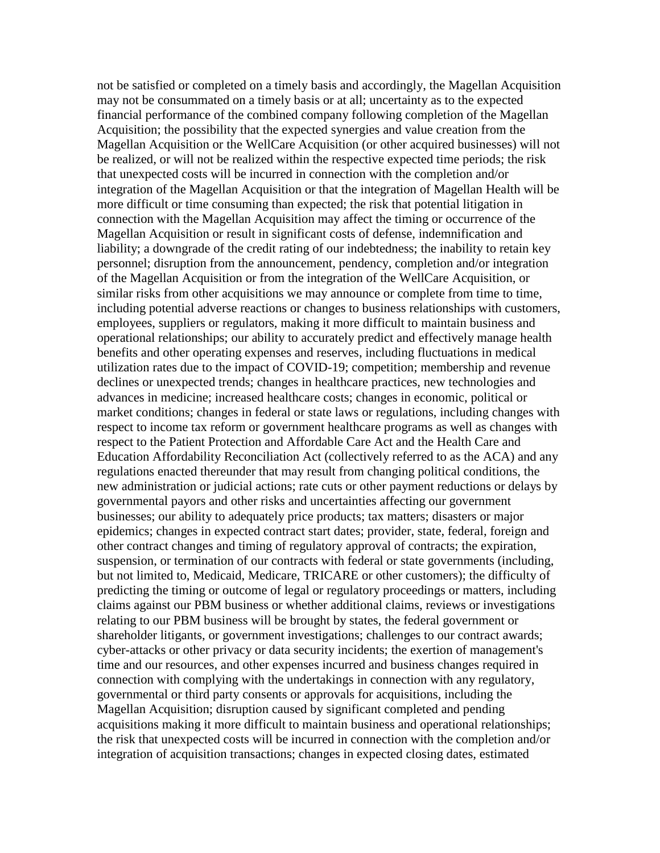not be satisfied or completed on a timely basis and accordingly, the Magellan Acquisition may not be consummated on a timely basis or at all; uncertainty as to the expected financial performance of the combined company following completion of the Magellan Acquisition; the possibility that the expected synergies and value creation from the Magellan Acquisition or the WellCare Acquisition (or other acquired businesses) will not be realized, or will not be realized within the respective expected time periods; the risk that unexpected costs will be incurred in connection with the completion and/or integration of the Magellan Acquisition or that the integration of Magellan Health will be more difficult or time consuming than expected; the risk that potential litigation in connection with the Magellan Acquisition may affect the timing or occurrence of the Magellan Acquisition or result in significant costs of defense, indemnification and liability; a downgrade of the credit rating of our indebtedness; the inability to retain key personnel; disruption from the announcement, pendency, completion and/or integration of the Magellan Acquisition or from the integration of the WellCare Acquisition, or similar risks from other acquisitions we may announce or complete from time to time, including potential adverse reactions or changes to business relationships with customers, employees, suppliers or regulators, making it more difficult to maintain business and operational relationships; our ability to accurately predict and effectively manage health benefits and other operating expenses and reserves, including fluctuations in medical utilization rates due to the impact of COVID-19; competition; membership and revenue declines or unexpected trends; changes in healthcare practices, new technologies and advances in medicine; increased healthcare costs; changes in economic, political or market conditions; changes in federal or state laws or regulations, including changes with respect to income tax reform or government healthcare programs as well as changes with respect to the Patient Protection and Affordable Care Act and the Health Care and Education Affordability Reconciliation Act (collectively referred to as the ACA) and any regulations enacted thereunder that may result from changing political conditions, the new administration or judicial actions; rate cuts or other payment reductions or delays by governmental payors and other risks and uncertainties affecting our government businesses; our ability to adequately price products; tax matters; disasters or major epidemics; changes in expected contract start dates; provider, state, federal, foreign and other contract changes and timing of regulatory approval of contracts; the expiration, suspension, or termination of our contracts with federal or state governments (including, but not limited to, Medicaid, Medicare, TRICARE or other customers); the difficulty of predicting the timing or outcome of legal or regulatory proceedings or matters, including claims against our PBM business or whether additional claims, reviews or investigations relating to our PBM business will be brought by states, the federal government or shareholder litigants, or government investigations; challenges to our contract awards; cyber-attacks or other privacy or data security incidents; the exertion of management's time and our resources, and other expenses incurred and business changes required in connection with complying with the undertakings in connection with any regulatory, governmental or third party consents or approvals for acquisitions, including the Magellan Acquisition; disruption caused by significant completed and pending acquisitions making it more difficult to maintain business and operational relationships; the risk that unexpected costs will be incurred in connection with the completion and/or integration of acquisition transactions; changes in expected closing dates, estimated